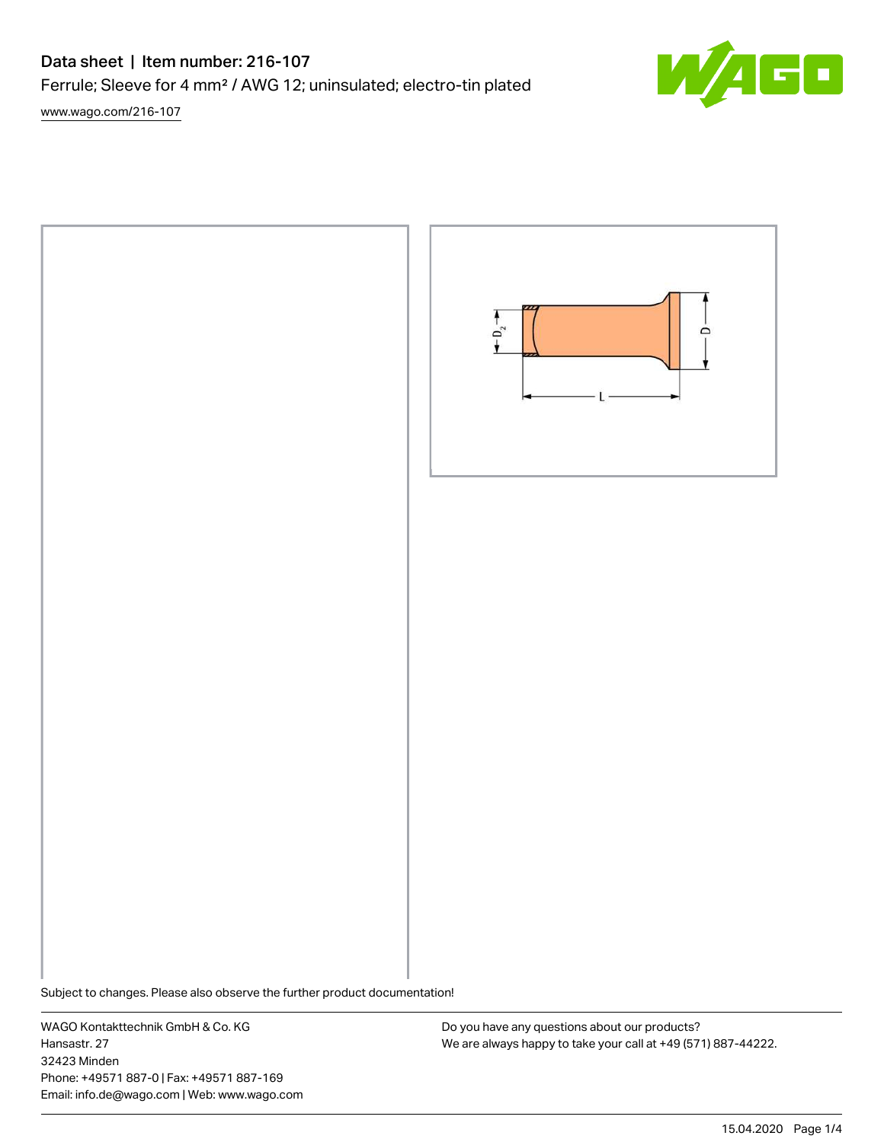# Data sheet | Item number: 216-107

Ferrule; Sleeve for 4 mm² / AWG 12; uninsulated; electro-tin plated

[www.wago.com/216-107](http://www.wago.com/216-107)





Subject to changes. Please also observe the further product documentation!

WAGO Kontakttechnik GmbH & Co. KG Hansastr. 27 32423 Minden Phone: +49571 887-0 | Fax: +49571 887-169 Email: info.de@wago.com | Web: www.wago.com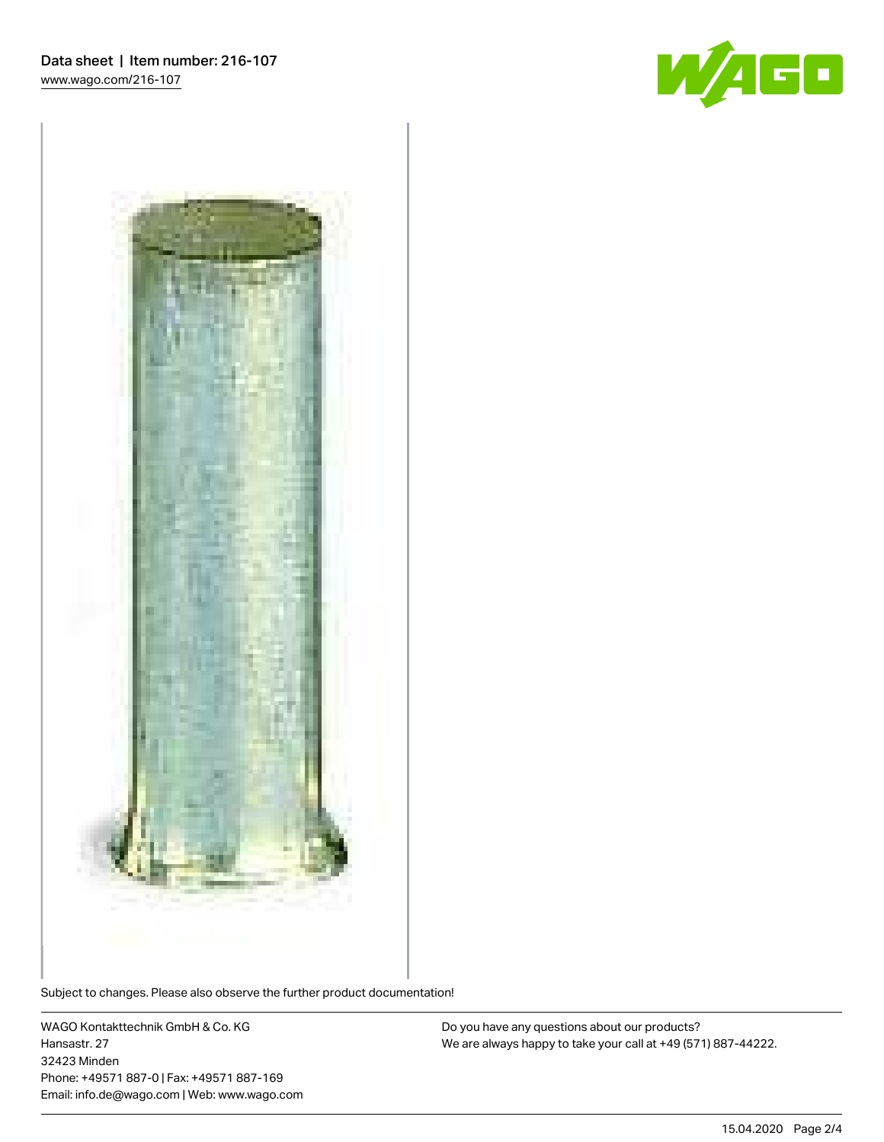



Subject to changes. Please also observe the further product documentation!

WAGO Kontakttechnik GmbH & Co. KG Hansastr. 27 32423 Minden Phone: +49571 887-0 | Fax: +49571 887-169 Email: info.de@wago.com | Web: www.wago.com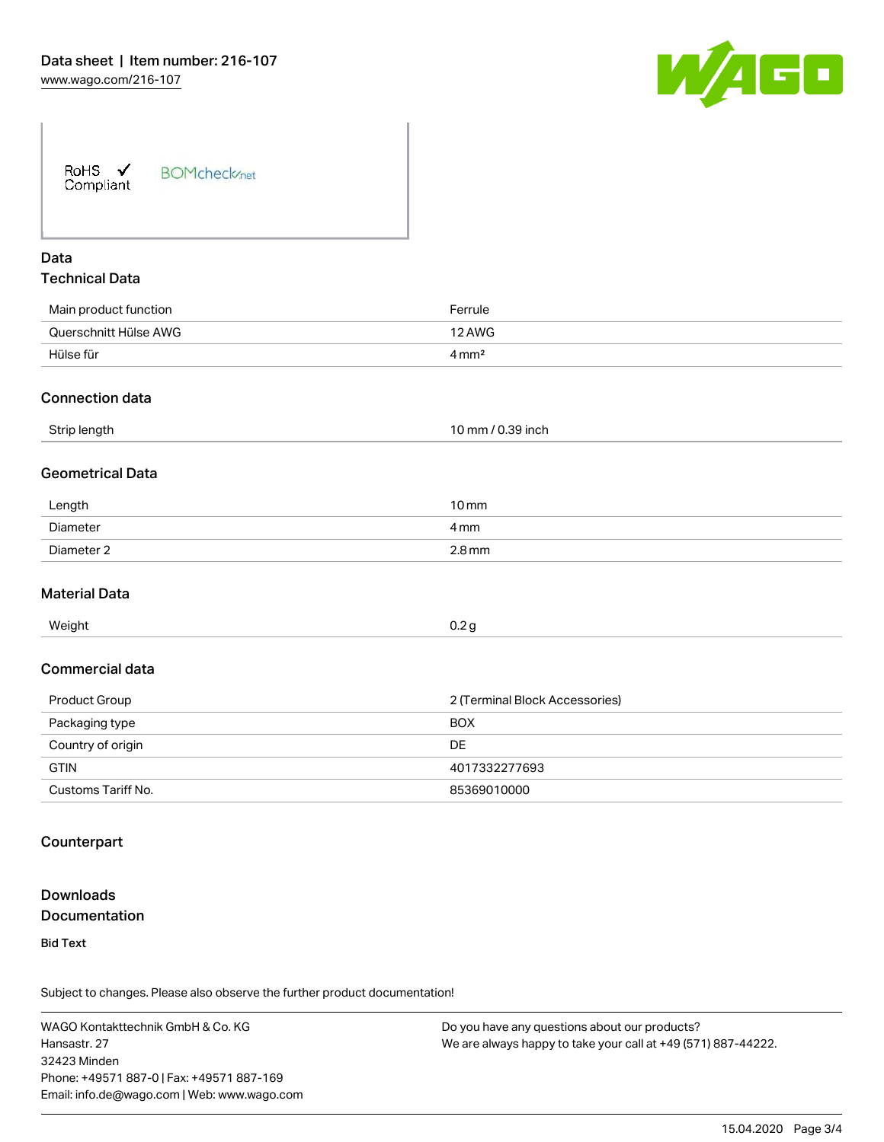

| RoHS $\checkmark$<br>Compliant | <b>BOMcheck</b> /net |
|--------------------------------|----------------------|
|--------------------------------|----------------------|

# Data Technical Data

| Main product function | Ferrule             |
|-----------------------|---------------------|
| Querschnitt Hülse AWG | 12 AWG              |
| Hülse für             | $4 \,\mathrm{mm}^2$ |
|                       |                     |

#### Connection data

| Strip length<br>. . | mm<br>39 inch<br>י ש.<br>ບ.ວອ |  |
|---------------------|-------------------------------|--|
|                     |                               |  |

#### Geometrical Data

| Length     | $10 \,\mathrm{mm}$  |
|------------|---------------------|
| Diameter   | 4 mm                |
| Diameter 2 | $2.8 \,\mathrm{mm}$ |

#### Material Data

| Weight | 0.2 a |
|--------|-------|

#### Commercial data

| Product Group      | 2 (Terminal Block Accessories) |  |
|--------------------|--------------------------------|--|
| Packaging type     | <b>BOX</b>                     |  |
| Country of origin  | DE                             |  |
| <b>GTIN</b>        | 4017332277693                  |  |
| Customs Tariff No. | 85369010000                    |  |

#### **Counterpart**

## Downloads **Documentation**

Bid Text

Subject to changes. Please also observe the further product documentation!

WAGO Kontakttechnik GmbH & Co. KG Hansastr. 27 32423 Minden Phone: +49571 887-0 | Fax: +49571 887-169 Email: info.de@wago.com | Web: www.wago.com